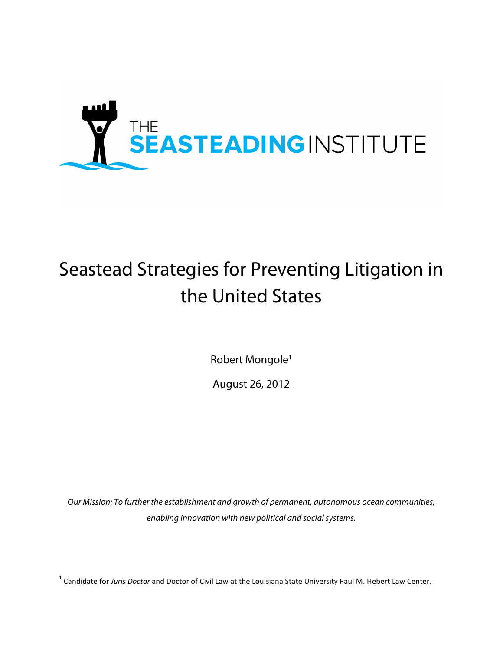

# Seastead Strategies for Preventing Litigation in the United States

Robert Mongole<sup>1</sup>

August 26, 2012

*Our Mission: To further the establishment and growth of permanent, autonomous ocean communities, enabling innovation with new political and social systems.*

<sup>1</sup> Candidate for Juris Doctor and Doctor of Civil Law at the Louisiana State University Paul M. Hebert Law Center.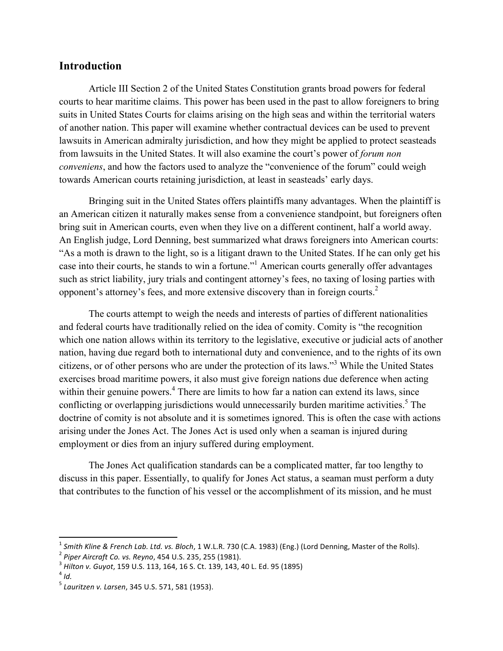# **Introduction**

Article III Section 2 of the United States Constitution grants broad powers for federal courts to hear maritime claims. This power has been used in the past to allow foreigners to bring suits in United States Courts for claims arising on the high seas and within the territorial waters of another nation. This paper will examine whether contractual devices can be used to prevent lawsuits in American admiralty jurisdiction, and how they might be applied to protect seasteads from lawsuits in the United States. It will also examine the court's power of *forum non conveniens*, and how the factors used to analyze the "convenience of the forum" could weigh towards American courts retaining jurisdiction, at least in seasteads' early days.

Bringing suit in the United States offers plaintiffs many advantages. When the plaintiff is an American citizen it naturally makes sense from a convenience standpoint, but foreigners often bring suit in American courts, even when they live on a different continent, half a world away. An English judge, Lord Denning, best summarized what draws foreigners into American courts: "As a moth is drawn to the light, so is a litigant drawn to the United States. If he can only get his case into their courts, he stands to win a fortune."<sup>1</sup> American courts generally offer advantages such as strict liability, jury trials and contingent attorney's fees, no taxing of losing parties with opponent's attorney's fees, and more extensive discovery than in foreign courts.2

The courts attempt to weigh the needs and interests of parties of different nationalities and federal courts have traditionally relied on the idea of comity. Comity is "the recognition which one nation allows within its territory to the legislative, executive or judicial acts of another nation, having due regard both to international duty and convenience, and to the rights of its own citizens, or of other persons who are under the protection of its laws." <sup>3</sup> While the United States exercises broad maritime powers, it also must give foreign nations due deference when acting within their genuine powers.<sup>4</sup> There are limits to how far a nation can extend its laws, since conflicting or overlapping jurisdictions would unnecessarily burden maritime activities.<sup>5</sup> The doctrine of comity is not absolute and it is sometimes ignored. This is often the case with actions arising under the Jones Act. The Jones Act is used only when a seaman is injured during employment or dies from an injury suffered during employment.

The Jones Act qualification standards can be a complicated matter, far too lengthy to discuss in this paper. Essentially, to qualify for Jones Act status, a seaman must perform a duty that contributes to the function of his vessel or the accomplishment of its mission, and he must

<sup>&</sup>lt;sup>1</sup> Smith Kline & French Lab. Ltd. vs. Bloch, 1 W.L.R. 730 (C.A. 1983) (Eng.) (Lord Denning, Master of the Rolls).<br><sup>2</sup> Piper Aircraft Co. vs. Reyno, 454 U.S. 235, 255 (1981).<br><sup>3</sup> Hilton v. Guyot, 159 U.S. 113, 164, 16 S.

<sup>&</sup>lt;sup>5</sup> Lauritzen v. Larsen, 345 U.S. 571, 581 (1953).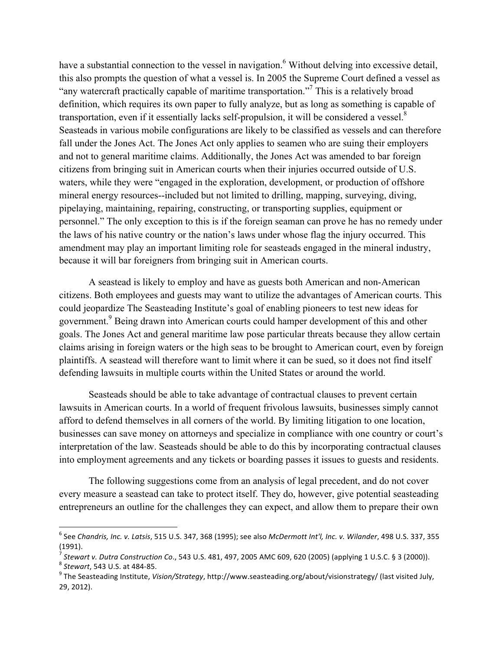have a substantial connection to the vessel in navigation.<sup>6</sup> Without delving into excessive detail, this also prompts the question of what a vessel is. In 2005 the Supreme Court defined a vessel as "any watercraft practically capable of maritime transportation."<sup>7</sup> This is a relatively broad definition, which requires its own paper to fully analyze, but as long as something is capable of transportation, even if it essentially lacks self-propulsion, it will be considered a vessel.<sup>8</sup> Seasteads in various mobile configurations are likely to be classified as vessels and can therefore fall under the Jones Act. The Jones Act only applies to seamen who are suing their employers and not to general maritime claims. Additionally, the Jones Act was amended to bar foreign citizens from bringing suit in American courts when their injuries occurred outside of U.S. waters, while they were "engaged in the exploration, development, or production of offshore mineral energy resources--included but not limited to drilling, mapping, surveying, diving, pipelaying, maintaining, repairing, constructing, or transporting supplies, equipment or personnel." The only exception to this is if the foreign seaman can prove he has no remedy under the laws of his native country or the nation's laws under whose flag the injury occurred. This amendment may play an important limiting role for seasteads engaged in the mineral industry, because it will bar foreigners from bringing suit in American courts.

A seastead is likely to employ and have as guests both American and non-American citizens. Both employees and guests may want to utilize the advantages of American courts. This could jeopardize The Seasteading Institute's goal of enabling pioneers to test new ideas for government.<sup>9</sup> Being drawn into American courts could hamper development of this and other goals. The Jones Act and general maritime law pose particular threats because they allow certain claims arising in foreign waters or the high seas to be brought to American court, even by foreign plaintiffs. A seastead will therefore want to limit where it can be sued, so it does not find itself defending lawsuits in multiple courts within the United States or around the world.

Seasteads should be able to take advantage of contractual clauses to prevent certain lawsuits in American courts. In a world of frequent frivolous lawsuits, businesses simply cannot afford to defend themselves in all corners of the world. By limiting litigation to one location, businesses can save money on attorneys and specialize in compliance with one country or court's interpretation of the law. Seasteads should be able to do this by incorporating contractual clauses into employment agreements and any tickets or boarding passes it issues to guests and residents.

The following suggestions come from an analysis of legal precedent, and do not cover every measure a seastead can take to protect itself. They do, however, give potential seasteading entrepreneurs an outline for the challenges they can expect, and allow them to prepare their own

 

<sup>&</sup>lt;sup>6</sup> See Chandris, Inc. v. Latsis, 515 U.S. 347, 368 (1995); see also McDermott Int'l, Inc. v. Wilander, 498 U.S. 337, 355 (1991).

<sup>&</sup>lt;sup>7</sup> Stewart v. Dutra Construction Co., 543 U.S. 481, 497, 2005 AMC 609, 620 (2005) (applying 1 U.S.C. § 3 (2000)).<br><sup>8</sup> Stewart, 543 U.S. at 484-85.<br><sup>9</sup> The Seasteading Institute, *Vision/Strategy*, http://www.seasteading.

<sup>29, 2012).</sup>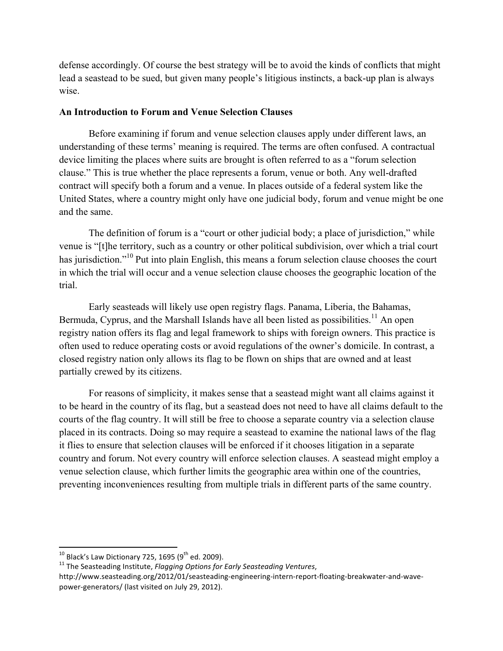defense accordingly. Of course the best strategy will be to avoid the kinds of conflicts that might lead a seastead to be sued, but given many people's litigious instincts, a back-up plan is always wise.

#### **An Introduction to Forum and Venue Selection Clauses**

Before examining if forum and venue selection clauses apply under different laws, an understanding of these terms' meaning is required. The terms are often confused. A contractual device limiting the places where suits are brought is often referred to as a "forum selection clause." This is true whether the place represents a forum, venue or both. Any well-drafted contract will specify both a forum and a venue. In places outside of a federal system like the United States, where a country might only have one judicial body, forum and venue might be one and the same.

The definition of forum is a "court or other judicial body; a place of jurisdiction," while venue is "[t]he territory, such as a country or other political subdivision, over which a trial court has jurisdiction."<sup>10</sup> Put into plain English, this means a forum selection clause chooses the court in which the trial will occur and a venue selection clause chooses the geographic location of the trial.

Early seasteads will likely use open registry flags. Panama, Liberia, the Bahamas, Bermuda, Cyprus, and the Marshall Islands have all been listed as possibilities.<sup>11</sup> An open registry nation offers its flag and legal framework to ships with foreign owners. This practice is often used to reduce operating costs or avoid regulations of the owner's domicile. In contrast, a closed registry nation only allows its flag to be flown on ships that are owned and at least partially crewed by its citizens.

For reasons of simplicity, it makes sense that a seastead might want all claims against it to be heard in the country of its flag, but a seastead does not need to have all claims default to the courts of the flag country. It will still be free to choose a separate country via a selection clause placed in its contracts. Doing so may require a seastead to examine the national laws of the flag it flies to ensure that selection clauses will be enforced if it chooses litigation in a separate country and forum. Not every country will enforce selection clauses. A seastead might employ a venue selection clause, which further limits the geographic area within one of the countries, preventing inconveniences resulting from multiple trials in different parts of the same country.

<sup>&</sup>lt;sup>10</sup> Black's Law Dictionary 725, 1695 (9<sup>th</sup> ed. 2009).<br><sup>11</sup> The Seasteading Institute, *Flagging Options for Early Seasteading Ventures*,

http://www.seasteading.org/2012/01/seasteading-engineering-intern-report-floating-breakwater-and-wavepower-generators/ (last visited on July 29, 2012).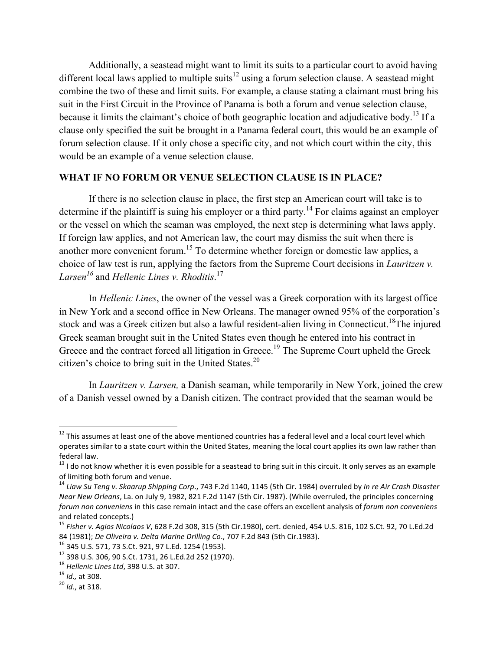Additionally, a seastead might want to limit its suits to a particular court to avoid having different local laws applied to multiple suits<sup>12</sup> using a forum selection clause. A seastead might combine the two of these and limit suits. For example, a clause stating a claimant must bring his suit in the First Circuit in the Province of Panama is both a forum and venue selection clause, because it limits the claimant's choice of both geographic location and adjudicative body.<sup>13</sup> If a clause only specified the suit be brought in a Panama federal court, this would be an example of forum selection clause. If it only chose a specific city, and not which court within the city, this would be an example of a venue selection clause.

# **WHAT IF NO FORUM OR VENUE SELECTION CLAUSE IS IN PLACE?**

If there is no selection clause in place, the first step an American court will take is to determine if the plaintiff is suing his employer or a third party.<sup>14</sup> For claims against an employer or the vessel on which the seaman was employed, the next step is determining what laws apply. If foreign law applies, and not American law, the court may dismiss the suit when there is another more convenient forum.<sup>15</sup> To determine whether foreign or domestic law applies, a choice of law test is run, applying the factors from the Supreme Court decisions in *Lauritzen v. Larsen<sup>16</sup>* and *Hellenic Lines v. Rhoditis*. 17

In *Hellenic Lines*, the owner of the vessel was a Greek corporation with its largest office in New York and a second office in New Orleans. The manager owned 95% of the corporation's stock and was a Greek citizen but also a lawful resident-alien living in Connecticut.<sup>18</sup>The injured Greek seaman brought suit in the United States even though he entered into his contract in Greece and the contract forced all litigation in Greece.<sup>19</sup> The Supreme Court upheld the Greek citizen's choice to bring suit in the United States.<sup>20</sup>

In *Lauritzen v. Larsen,* a Danish seaman, while temporarily in New York, joined the crew of a Danish vessel owned by a Danish citizen. The contract provided that the seaman would be

 $^{12}$  This assumes at least one of the above mentioned countries has a federal level and a local court level which operates similar to a state court within the United States, meaning the local court applies its own law rather than federal law.

 $13$  I do not know whether it is even possible for a seastead to bring suit in this circuit. It only serves as an example of limiting both forum and venue.

<sup>&</sup>lt;sup>14</sup> Liaw Su Teng v. Skaarup Shipping Corp., 743 F.2d 1140, 1145 (5th Cir. 1984) overruled by In re Air Crash Disaster *Near New Orleans*, La. on July 9, 1982, 821 F.2d 1147 (5th Cir. 1987). (While overruled, the principles concerning forum non conveniens in this case remain intact and the case offers an excellent analysis of forum non conveniens and related concepts.)

<sup>&</sup>lt;sup>15</sup> Fisher v. Agios Nicolaos V, 628 F.2d 308, 315 (5th Cir.1980), cert. denied, 454 U.S. 816, 102 S.Ct. 92, 70 L.Ed.2d 84 (1981); *De Oliveira v. Delta Marine Drilling Co.*, 707 F.2d 843 (5th Cir.1983).<br><sup>16</sup> 345 U.S. 571, 73 S.Ct. 921, 97 L.Ed. 1254 (1953).<br><sup>17</sup> 398 U.S. 306, 90 S.Ct. 1731, 26 L.Ed.2d 252 (1970).<br><sup>18</sup> Hellenic Lines Ltd, 3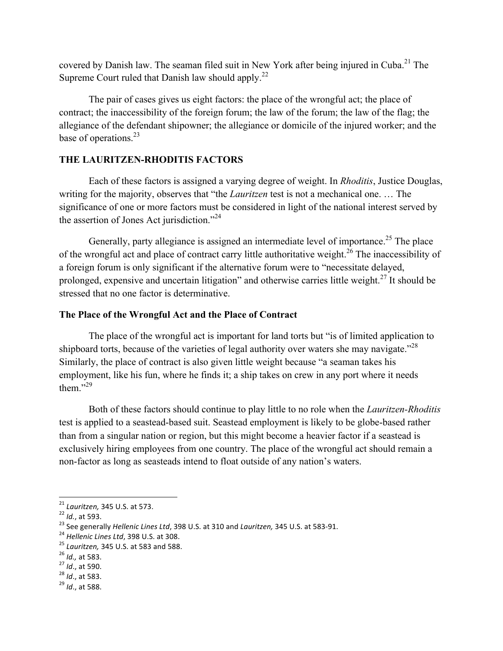covered by Danish law. The seaman filed suit in New York after being injured in Cuba.<sup>21</sup> The Supreme Court ruled that Danish law should apply.<sup>22</sup>

The pair of cases gives us eight factors: the place of the wrongful act; the place of contract; the inaccessibility of the foreign forum; the law of the forum; the law of the flag; the allegiance of the defendant shipowner; the allegiance or domicile of the injured worker; and the base of operations.<sup>23</sup>

# **THE LAURITZEN-RHODITIS FACTORS**

Each of these factors is assigned a varying degree of weight. In *Rhoditis*, Justice Douglas, writing for the majority, observes that "the *Lauritzen* test is not a mechanical one. … The significance of one or more factors must be considered in light of the national interest served by the assertion of Jones Act jurisdiction."<sup>24</sup>

Generally, party allegiance is assigned an intermediate level of importance.<sup>25</sup> The place of the wrongful act and place of contract carry little authoritative weight.<sup>26</sup> The inaccessibility of a foreign forum is only significant if the alternative forum were to "necessitate delayed, prolonged, expensive and uncertain litigation" and otherwise carries little weight. $27$  It should be stressed that no one factor is determinative.

## **The Place of the Wrongful Act and the Place of Contract**

The place of the wrongful act is important for land torts but "is of limited application to shipboard torts, because of the varieties of legal authority over waters she may navigate."<sup>28</sup> Similarly, the place of contract is also given little weight because "a seaman takes his employment, like his fun, where he finds it; a ship takes on crew in any port where it needs them $^{3.29}$ 

Both of these factors should continue to play little to no role when the *Lauritzen-Rhoditis* test is applied to a seastead-based suit. Seastead employment is likely to be globe-based rather than from a singular nation or region, but this might become a heavier factor if a seastead is exclusively hiring employees from one country. The place of the wrongful act should remain a non-factor as long as seasteads intend to float outside of any nation's waters.

 $^{21}$  Lauritzen, 345 U.S. at 573.

<sup>&</sup>lt;sup>22</sup> *Id.*, at 593.<br>
<sup>23</sup> See generally *Hellenic Lines Ltd*, 398 U.S. at 310 and *Lauritzen*, 345 U.S. at 583-91.<br>
<sup>24</sup> *Hellenic Lines Ltd*, 398 U.S. at 308.<br>
<sup>25</sup> *Lauritzen*, 345 U.S. at 583 and 588.<br>
<sup>26</sup> *Id.*, at 5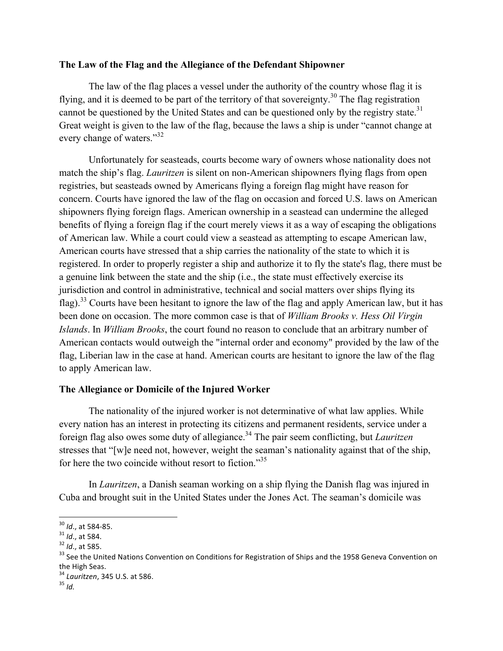### **The Law of the Flag and the Allegiance of the Defendant Shipowner**

The law of the flag places a vessel under the authority of the country whose flag it is flying, and it is deemed to be part of the territory of that sovereignty.<sup>30</sup> The flag registration cannot be questioned by the United States and can be questioned only by the registry state.<sup>31</sup> Great weight is given to the law of the flag, because the laws a ship is under "cannot change at every change of waters."<sup>32</sup>

Unfortunately for seasteads, courts become wary of owners whose nationality does not match the ship's flag. *Lauritzen* is silent on non-American shipowners flying flags from open registries, but seasteads owned by Americans flying a foreign flag might have reason for concern. Courts have ignored the law of the flag on occasion and forced U.S. laws on American shipowners flying foreign flags. American ownership in a seastead can undermine the alleged benefits of flying a foreign flag if the court merely views it as a way of escaping the obligations of American law. While a court could view a seastead as attempting to escape American law, American courts have stressed that a ship carries the nationality of the state to which it is registered. In order to properly register a ship and authorize it to fly the state's flag, there must be a genuine link between the state and the ship (i.e., the state must effectively exercise its jurisdiction and control in administrative, technical and social matters over ships flying its flag).<sup>33</sup> Courts have been hesitant to ignore the law of the flag and apply American law, but it has been done on occasion. The more common case is that of *William Brooks v. Hess Oil Virgin Islands*. In *William Brooks*, the court found no reason to conclude that an arbitrary number of American contacts would outweigh the "internal order and economy" provided by the law of the flag, Liberian law in the case at hand. American courts are hesitant to ignore the law of the flag to apply American law.

## **The Allegiance or Domicile of the Injured Worker**

The nationality of the injured worker is not determinative of what law applies. While every nation has an interest in protecting its citizens and permanent residents, service under a foreign flag also owes some duty of allegiance.34 The pair seem conflicting, but *Lauritzen* stresses that "[w]e need not, however, weight the seaman's nationality against that of the ship, for here the two coincide without resort to fiction."<sup>35</sup>

In *Lauritzen*, a Danish seaman working on a ship flying the Danish flag was injured in Cuba and brought suit in the United States under the Jones Act. The seaman's domicile was

<sup>&</sup>lt;sup>30</sup> *Id.*, at 584-85.<br><sup>31</sup> *Id.*, at 584.<br><sup>32</sup> *Id.*, at 585.<br><sup>33</sup> See the United Nations Convention on Conditions for Registration of Ships and the 1958 Geneva Convention on the High Seas.<br><sup>34</sup> *Lauritzen*, 345 U.S. at 586.<br><sup>35</sup> *Id*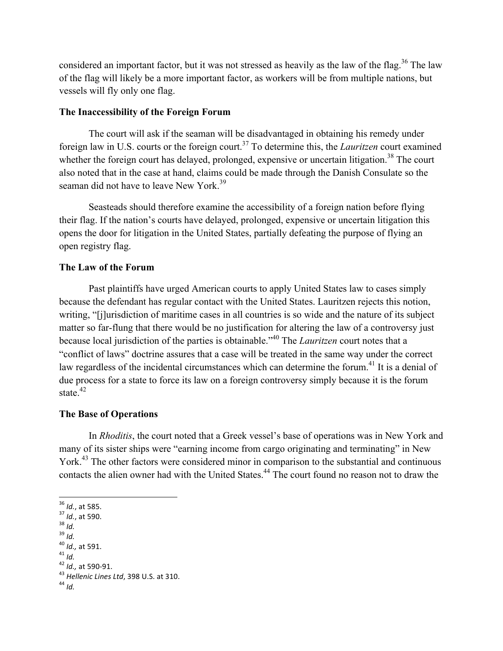considered an important factor, but it was not stressed as heavily as the law of the flag.<sup>36</sup> The law of the flag will likely be a more important factor, as workers will be from multiple nations, but vessels will fly only one flag.

#### **The Inaccessibility of the Foreign Forum**

The court will ask if the seaman will be disadvantaged in obtaining his remedy under foreign law in U.S. courts or the foreign court.<sup>37</sup> To determine this, the *Lauritzen* court examined whether the foreign court has delayed, prolonged, expensive or uncertain litigation.<sup>38</sup> The court also noted that in the case at hand, claims could be made through the Danish Consulate so the seaman did not have to leave New York.<sup>39</sup>

Seasteads should therefore examine the accessibility of a foreign nation before flying their flag. If the nation's courts have delayed, prolonged, expensive or uncertain litigation this opens the door for litigation in the United States, partially defeating the purpose of flying an open registry flag.

#### **The Law of the Forum**

Past plaintiffs have urged American courts to apply United States law to cases simply because the defendant has regular contact with the United States. Lauritzen rejects this notion, writing, "[j]urisdiction of maritime cases in all countries is so wide and the nature of its subject matter so far-flung that there would be no justification for altering the law of a controversy just because local jurisdiction of the parties is obtainable."40 The *Lauritzen* court notes that a "conflict of laws" doctrine assures that a case will be treated in the same way under the correct law regardless of the incidental circumstances which can determine the forum.<sup>41</sup> It is a denial of due process for a state to force its law on a foreign controversy simply because it is the forum state. $42$ 

#### **The Base of Operations**

In *Rhoditis*, the court noted that a Greek vessel's base of operations was in New York and many of its sister ships were "earning income from cargo originating and terminating" in New York.<sup>43</sup> The other factors were considered minor in comparison to the substantial and continuous contacts the alien owner had with the United States.<sup>44</sup> The court found no reason not to draw the

- 
- 
- 
- 
- 
- <sup>36</sup> *Id.*, at 585.<br><sup>37</sup> *Id.*, at 590.<br><sup>38</sup> *Id.*<br><sup>40</sup> *Id.*, at 591.<br><sup>41</sup> *Id.*<br><sup>42</sup> *Id.*, at 590-91.<br><sup>43</sup> *Hellenic Lines Ltd*, 398 U.S. at 310.<br><sup>44</sup> *Id*
-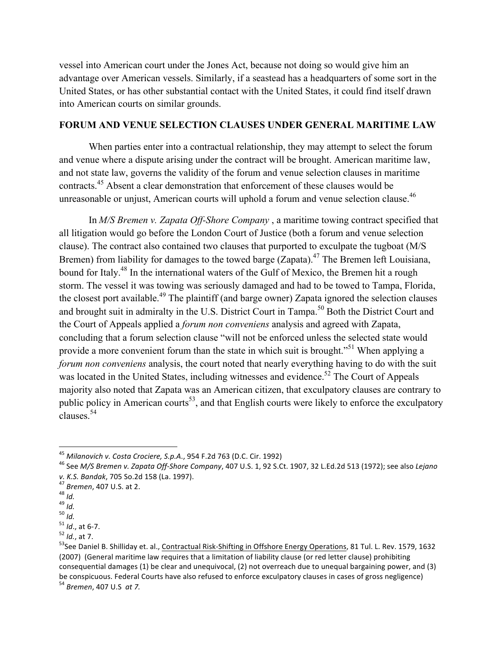vessel into American court under the Jones Act, because not doing so would give him an advantage over American vessels. Similarly, if a seastead has a headquarters of some sort in the United States, or has other substantial contact with the United States, it could find itself drawn into American courts on similar grounds.

## **FORUM AND VENUE SELECTION CLAUSES UNDER GENERAL MARITIME LAW**

When parties enter into a contractual relationship, they may attempt to select the forum and venue where a dispute arising under the contract will be brought. American maritime law, and not state law, governs the validity of the forum and venue selection clauses in maritime contracts.<sup>45</sup> Absent a clear demonstration that enforcement of these clauses would be unreasonable or unjust, American courts will uphold a forum and venue selection clause.<sup>46</sup>

In *M/S Bremen v. Zapata Off-Shore Company* , a maritime towing contract specified that all litigation would go before the London Court of Justice (both a forum and venue selection clause). The contract also contained two clauses that purported to exculpate the tugboat (M/S Bremen) from liability for damages to the towed barge (Zapata).<sup>47</sup> The Bremen left Louisiana, bound for Italy.<sup>48</sup> In the international waters of the Gulf of Mexico, the Bremen hit a rough storm. The vessel it was towing was seriously damaged and had to be towed to Tampa, Florida, the closest port available.<sup>49</sup> The plaintiff (and barge owner) Zapata ignored the selection clauses and brought suit in admiralty in the U.S. District Court in Tampa.<sup>50</sup> Both the District Court and the Court of Appeals applied a *forum non conveniens* analysis and agreed with Zapata, concluding that a forum selection clause "will not be enforced unless the selected state would provide a more convenient forum than the state in which suit is brought."<sup>51</sup> When applying a *forum non conveniens* analysis, the court noted that nearly everything having to do with the suit was located in the United States, including witnesses and evidence.<sup>52</sup> The Court of Appeals majority also noted that Zapata was an American citizen, that exculpatory clauses are contrary to public policy in American courts<sup>53</sup>, and that English courts were likely to enforce the exculpatory clauses<sup>54</sup>

<sup>&</sup>lt;sup>45</sup> Milanovich v. Costa Crociere, S.p.A., 954 F.2d 763 (D.C. Cir. 1992)

<sup>&</sup>lt;sup>46</sup> See M/S Bremen v. Zapata Off-Shore Company, 407 U.S. 1, 92 S.Ct. 1907, 32 L.Ed.2d 513 (1972); see also Lejano v. K.S. Bandak, 705 So.2d 158 (La. 1997).<br>
<sup>47</sup> Bremen, 407 U.S. at 2.<br>
<sup>48</sup> Id.<br>
<sup>59</sup> Id., at 6-7.<br>
<sup>51</sup> Id., at 6-7.<br>
<sup>52</sup> Id., at 7.<br>
<sup>52</sup> Id., at 7.

<sup>(2007) (</sup>General maritime law requires that a limitation of liability clause (or red letter clause) prohibiting consequential damages  $(1)$  be clear and unequivocal,  $(2)$  not overreach due to unequal bargaining power, and  $(3)$ be conspicuous. Federal Courts have also refused to enforce exculpatory clauses in cases of gross negligence) <sup>54</sup> *Bremen*, 407 U.S *at* 7.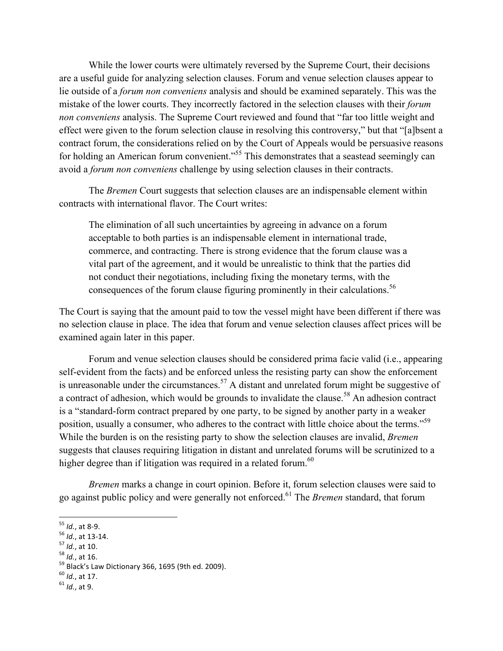While the lower courts were ultimately reversed by the Supreme Court, their decisions are a useful guide for analyzing selection clauses. Forum and venue selection clauses appear to lie outside of a *forum non conveniens* analysis and should be examined separately. This was the mistake of the lower courts. They incorrectly factored in the selection clauses with their *forum non conveniens* analysis. The Supreme Court reviewed and found that "far too little weight and effect were given to the forum selection clause in resolving this controversy," but that "[a]bsent a contract forum, the considerations relied on by the Court of Appeals would be persuasive reasons for holding an American forum convenient."<sup>55</sup> This demonstrates that a seastead seemingly can avoid a *forum non conveniens* challenge by using selection clauses in their contracts.

The *Bremen* Court suggests that selection clauses are an indispensable element within contracts with international flavor. The Court writes:

The elimination of all such uncertainties by agreeing in advance on a forum acceptable to both parties is an indispensable element in international trade, commerce, and contracting. There is strong evidence that the forum clause was a vital part of the agreement, and it would be unrealistic to think that the parties did not conduct their negotiations, including fixing the monetary terms, with the consequences of the forum clause figuring prominently in their calculations.<sup>56</sup>

The Court is saying that the amount paid to tow the vessel might have been different if there was no selection clause in place. The idea that forum and venue selection clauses affect prices will be examined again later in this paper.

Forum and venue selection clauses should be considered prima facie valid (i.e., appearing self-evident from the facts) and be enforced unless the resisting party can show the enforcement is unreasonable under the circumstances.<sup>57</sup> A distant and unrelated forum might be suggestive of a contract of adhesion, which would be grounds to invalidate the clause.<sup>58</sup> An adhesion contract is a "standard-form contract prepared by one party, to be signed by another party in a weaker position, usually a consumer, who adheres to the contract with little choice about the terms."<sup>59</sup> While the burden is on the resisting party to show the selection clauses are invalid, *Bremen* suggests that clauses requiring litigation in distant and unrelated forums will be scrutinized to a higher degree than if litigation was required in a related forum. $60$ 

*Bremen* marks a change in court opinion. Before it, forum selection clauses were said to go against public policy and were generally not enforced.61 The *Bremen* standard, that forum

<sup>&</sup>lt;sup>55</sup> *Id.*, at 3-9.<br><sup>56</sup> *Id.*, at 13-14.<br><sup>57</sup> *Id.*, at 10.<br><sup>58</sup> *Id.*, at 16.<br><sup>59</sup> Black's Law Dictionary 366, 1695 (9th ed. 2009).<br><sup>60</sup> *Id.*, at 17.<br><sup>61</sup> *Id.*, at 9.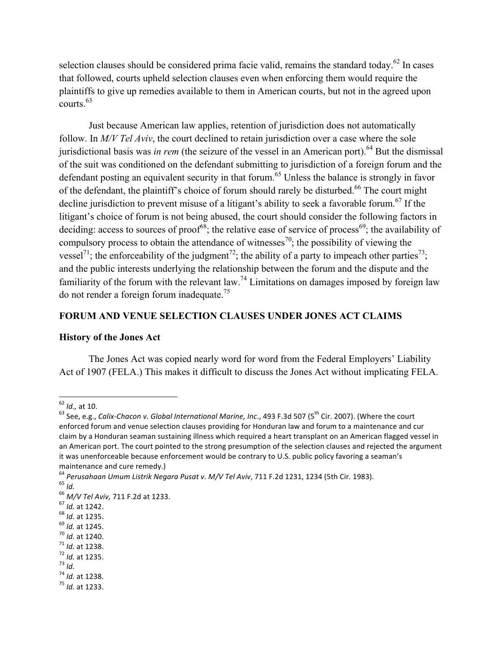selection clauses should be considered prima facie valid, remains the standard today.<sup>62</sup> In cases that followed, courts upheld selection clauses even when enforcing them would require the plaintiffs to give up remedies available to them in American courts, but not in the agreed upon courts. $63$ 

Just because American law applies, retention of jurisdiction does not automatically follow. In *M/V Tel Aviv*, the court declined to retain jurisdiction over a case where the sole jurisdictional basis was *in rem* (the seizure of the vessel in an American port).<sup>64</sup> But the dismissal of the suit was conditioned on the defendant submitting to jurisdiction of a foreign forum and the defendant posting an equivalent security in that forum.<sup>65</sup> Unless the balance is strongly in favor of the defendant, the plaintiff's choice of forum should rarely be disturbed.<sup>66</sup> The court might decline jurisdiction to prevent misuse of a litigant's ability to seek a favorable forum.<sup>67</sup> If the litigant's choice of forum is not being abused, the court should consider the following factors in deciding: access to sources of proof<sup>68</sup>; the relative ease of service of process<sup>69</sup>; the availability of compulsory process to obtain the attendance of witnesses<sup>70</sup>; the possibility of viewing the vessel<sup>71</sup>; the enforceability of the judgment<sup>72</sup>; the ability of a party to impeach other parties<sup>73</sup>; and the public interests underlying the relationship between the forum and the dispute and the familiarity of the forum with the relevant law.<sup>74</sup> Limitations on damages imposed by foreign law do not render a foreign forum inadequate.75

# **FORUM AND VENUE SELECTION CLAUSES UNDER JONES ACT CLAIMS**

## **History of the Jones Act**

The Jones Act was copied nearly word for word from the Federal Employers' Liability Act of 1907 (FELA.) This makes it difficult to discuss the Jones Act without implicating FELA.

- 
- 

- 
- 
- 
- 

<sup>&</sup>lt;u> 1989 - Johann Stein, fransk politik (d. 1989)</u>

<sup>&</sup>lt;sup>62</sup> Id., at 10.<br><sup>63</sup> See, e.g., *Calix-Chacon v. Global International Marine, Inc.*, 493 F.3d 507 (5<sup>th</sup> Cir. 2007). (Where the court enforced forum and venue selection clauses providing for Honduran law and forum to a maintenance and cur claim bv a Honduran seaman sustaining illness which required a heart transplant on an American flagged vessel in an American port. The court pointed to the strong presumption of the selection clauses and rejected the argument it was unenforceable because enforcement would be contrary to U.S. public policy favoring a seaman's

maintenance and cure remedy.)<br>
<sup>64</sup> Perusahaan Umum Listrik Negara Pusat v. M/V Tel Aviv, 711 F.2d 1231, 1234 (5th Cir. 1983). <sup>64</sup> Perusahaan Umum Listrik Negara Pusat v. M/V Tel Aviv, 711 F.2d 1231, 1234 (5th Cir. 1983).<br><sup>65</sup> Id.<br><sup>66</sup> M/V Tel Aviv, 711 F.2d at 1233.<br><sup>67</sup> Id. at 1242.<br><sup>68</sup> Id. at 1242.<br><sup>69</sup> Id. at 1245.<br><sup>70</sup> Id. at 1235.<br><sup>71</sup> Id.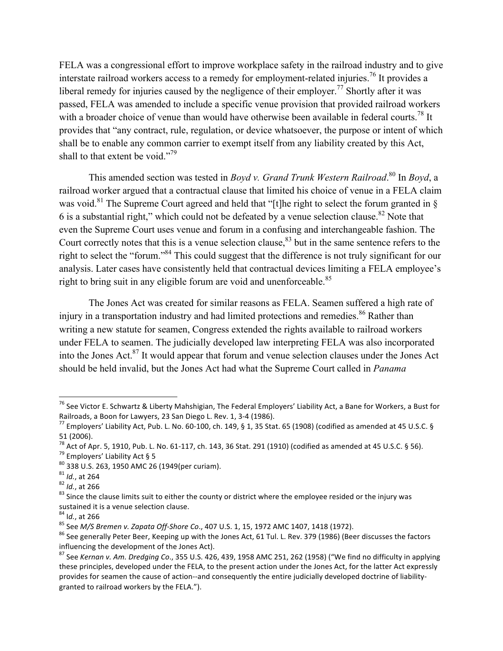FELA was a congressional effort to improve workplace safety in the railroad industry and to give interstate railroad workers access to a remedy for employment-related injuries.<sup>76</sup> It provides a liberal remedy for injuries caused by the negligence of their employer.<sup>77</sup> Shortly after it was passed, FELA was amended to include a specific venue provision that provided railroad workers with a broader choice of venue than would have otherwise been available in federal courts.<sup>78</sup> It provides that "any contract, rule, regulation, or device whatsoever, the purpose or intent of which shall be to enable any common carrier to exempt itself from any liability created by this Act, shall to that extent be void."<sup>79</sup>

This amended section was tested in *Boyd v. Grand Trunk Western Railroad*. <sup>80</sup> In *Boyd*, a railroad worker argued that a contractual clause that limited his choice of venue in a FELA claim was void.<sup>81</sup> The Supreme Court agreed and held that "[t]he right to select the forum granted in § 6 is a substantial right," which could not be defeated by a venue selection clause.<sup>82</sup> Note that even the Supreme Court uses venue and forum in a confusing and interchangeable fashion. The Court correctly notes that this is a venue selection clause,  $83$  but in the same sentence refers to the right to select the "forum."84 This could suggest that the difference is not truly significant for our analysis. Later cases have consistently held that contractual devices limiting a FELA employee's right to bring suit in any eligible forum are void and unenforceable.<sup>85</sup>

The Jones Act was created for similar reasons as FELA. Seamen suffered a high rate of injury in a transportation industry and had limited protections and remedies.<sup>86</sup> Rather than writing a new statute for seamen, Congress extended the rights available to railroad workers under FELA to seamen. The judicially developed law interpreting FELA was also incorporated into the Jones Act.<sup>87</sup> It would appear that forum and venue selection clauses under the Jones Act should be held invalid, but the Jones Act had what the Supreme Court called in *Panama* 

<sup>&</sup>lt;sup>76</sup> See Victor E. Schwartz & Liberty Mahshigian, The Federal Employers' Liability Act, a Bane for Workers, a Bust for<br>Railroads, a Boon for Lawyers, 23 San Diego L. Rev. 1, 3-4 (1986).

 $^{77}$  Employers' Liability Act, Pub. L. No. 60-100, ch. 149, § 1, 35 Stat. 65 (1908) (codified as amended at 45 U.S.C. § 51 (2006).<br><sup>78</sup> Act of Apr. 5, 1910, Pub. L. No. 61-117, ch. 143, 36 Stat. 291 (1910) (codified as amended at 45 U.S.C. § 56).

<sup>&</sup>lt;sup>79</sup> Employers' Liability Act § 5<br><sup>80</sup> 338 U.S. 263, 1950 AMC 26 (1949(per curiam).<br><sup>81</sup> *Id.*, at 264<br><sup>82</sup> *Id.*, at 266<br><sup>83</sup> Since the clause limits suit to either the county or district where the employee resided or th sustained it is a venue selection clause.<br> $84$  ld., at 266

<sup>&</sup>lt;sup>85</sup> See *M/S Bremen v. Zapata Off-Shore Co.*, 407 U.S. 1, 15, 1972 AMC 1407, 1418 (1972).<br><sup>86</sup> See generally Peter Beer, Keeping up with the Jones Act, 61 Tul. L. Rev. 379 (1986) (Beer discusses the factors influencing the development of the Jones Act).

<sup>&</sup>lt;sup>87</sup> See Kernan v. Am. Dredging Co., 355 U.S. 426, 439, 1958 AMC 251, 262 (1958) ("We find no difficulty in applying these principles, developed under the FELA, to the present action under the Jones Act, for the latter Act expressly provides for seamen the cause of action--and consequently the entire judicially developed doctrine of liabilitygranted to railroad workers by the FELA.").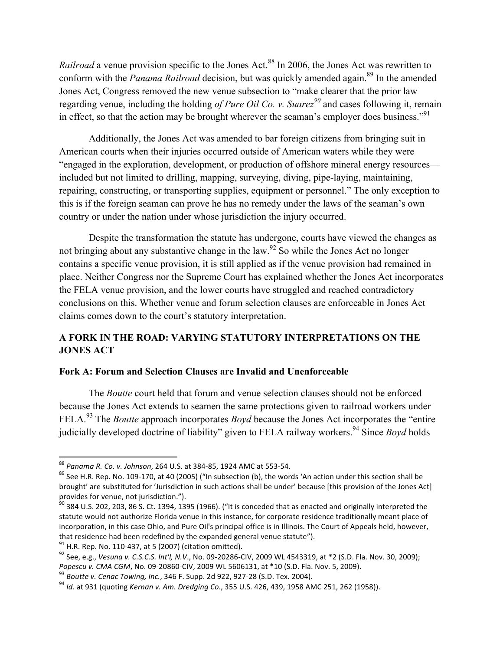*Railroad* a venue provision specific to the Jones Act.<sup>88</sup> In 2006, the Jones Act was rewritten to conform with the *Panama Railroad* decision, but was quickly amended again. <sup>89</sup> In the amended Jones Act, Congress removed the new venue subsection to "make clearer that the prior law regarding venue, including the holding *of Pure Oil Co. v. Suarez<sup>90</sup>* and cases following it, remain in effect, so that the action may be brought wherever the seaman's employer does business."<sup>91</sup>

Additionally, the Jones Act was amended to bar foreign citizens from bringing suit in American courts when their injuries occurred outside of American waters while they were "engaged in the exploration, development, or production of offshore mineral energy resources included but not limited to drilling, mapping, surveying, diving, pipe-laying, maintaining, repairing, constructing, or transporting supplies, equipment or personnel." The only exception to this is if the foreign seaman can prove he has no remedy under the laws of the seaman's own country or under the nation under whose jurisdiction the injury occurred.

Despite the transformation the statute has undergone, courts have viewed the changes as not bringing about any substantive change in the law.<sup>92</sup> So while the Jones Act no longer contains a specific venue provision, it is still applied as if the venue provision had remained in place. Neither Congress nor the Supreme Court has explained whether the Jones Act incorporates the FELA venue provision, and the lower courts have struggled and reached contradictory conclusions on this. Whether venue and forum selection clauses are enforceable in Jones Act claims comes down to the court's statutory interpretation.

# **A FORK IN THE ROAD: VARYING STATUTORY INTERPRETATIONS ON THE JONES ACT**

## **Fork A: Forum and Selection Clauses are Invalid and Unenforceable**

The *Boutte* court held that forum and venue selection clauses should not be enforced because the Jones Act extends to seamen the same protections given to railroad workers under FELA. <sup>93</sup> The *Boutte* approach incorporates *Boyd* because the Jones Act incorporates the "entire judicially developed doctrine of liability" given to FELA railway workers. <sup>94</sup> Since *Boyd* holds

<sup>88</sup> Panama R. Co. v. Johnson, 264 U.S. at 384-85, 1924 AMC at 553-54.

<sup>&</sup>lt;sup>89</sup> See H.R. Rep. No. 109-170, at 40 (2005) ("In subsection (b), the words 'An action under this section shall be brought' are substituted for 'Jurisdiction in such actions shall be under' because [this provision of the Jones Act] provides for venue, not jurisdiction.").

 $^{90}$  384 U.S. 202, 203, 86 S. Ct. 1394, 1395 (1966). ("It is conceded that as enacted and originally interpreted the statute would not authorize Florida venue in this instance, for corporate residence traditionally meant place of incorporation, in this case Ohio, and Pure Oil's principal office is in Illinois. The Court of Appeals held, however, that residence had been redefined by the expanded general venue statute").<br><sup>91</sup> H.R. Rep. No. 110-437, at 5 (2007) (citation omitted).<br><sup>92</sup> See, e.g., *Vesuna v. C.S.C.S. Int'l, N.V.*, No. 09-20286-CIV, 2009 WL 4543319, a

Popescu v. CMA CGM, No. 09-20860-CIV, 2009 WL 5606131, at \*10 (S.D. Fla. Nov. 5, 2009).<br><sup>93</sup> Boutte v. Cenac Towing, Inc., 346 F. Supp. 2d 922, 927-28 (S.D. Tex. 2004).<br><sup>94</sup> Id. at 931 (quoting Kernan v. Am. Dredging Co.,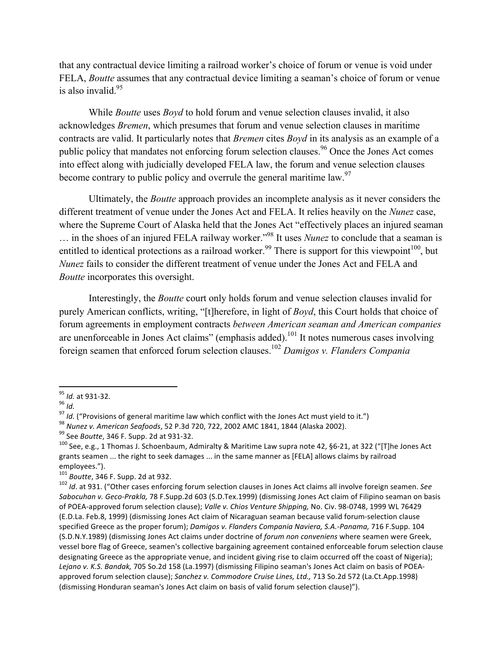that any contractual device limiting a railroad worker's choice of forum or venue is void under FELA, *Boutte* assumes that any contractual device limiting a seaman's choice of forum or venue is also invalid. $95$ 

While *Boutte* uses *Boyd* to hold forum and venue selection clauses invalid, it also acknowledges *Bremen*, which presumes that forum and venue selection clauses in maritime contracts are valid. It particularly notes that *Bremen* cites *Boyd* in its analysis as an example of a public policy that mandates not enforcing forum selection clauses.<sup>96</sup> Once the Jones Act comes into effect along with judicially developed FELA law, the forum and venue selection clauses become contrary to public policy and overrule the general maritime law.<sup>97</sup>

Ultimately, the *Boutte* approach provides an incomplete analysis as it never considers the different treatment of venue under the Jones Act and FELA. It relies heavily on the *Nunez* case, where the Supreme Court of Alaska held that the Jones Act "effectively places an injured seaman ... in the shoes of an injured FELA railway worker.<sup>"98</sup> It uses *Nunez* to conclude that a seaman is entitled to identical protections as a railroad worker.<sup>99</sup> There is support for this viewpoint<sup>100</sup>, but *Nunez* fails to consider the different treatment of venue under the Jones Act and FELA and *Boutte* incorporates this oversight.

Interestingly, the *Boutte* court only holds forum and venue selection clauses invalid for purely American conflicts, writing, "[t]herefore, in light of *Boyd*, this Court holds that choice of forum agreements in employment contracts *between American seaman and American companies* are unenforceable in Jones Act claims" (emphasis added).<sup>101</sup> It notes numerous cases involving foreign seamen that enforced forum selection clauses.102 *Damigos v. Flanders Compania* 

<sup>&</sup>lt;sup>95</sup> Id. at 931-32.<br><sup>96</sup> Id.<br><sup>97</sup> Id. ("Provisions of general maritime law which conflict with the Jones Act must yield to it.")<br><sup>97</sup> Id. ("Provisions of general maritime law which conflict with the Jones Act must yield t

grants seamen ... the right to seek damages ... in the same manner as [FELA] allows claims by railroad employees.").<br><sup>101</sup> Boutte, 346 F. Supp. 2d at 932.

<sup>&</sup>lt;sup>102</sup> *Id.* at 931. ("Other cases enforcing forum selection clauses in Jones Act claims all involve foreign seamen. See *Sabocuhan v. Geco-Prakla, 78* F.Supp.2d 603 (S.D.Tex.1999) (dismissing Jones Act claim of Filipino seaman on basis of POEA-approved forum selection clause); Valle v. Chios Venture Shipping, No. Civ. 98-0748, 1999 WL 76429 (E.D.La. Feb.8, 1999) (dismissing Jones Act claim of Nicaraguan seaman because valid forum-selection clause specified Greece as the proper forum); *Damigos v. Flanders Compania Naviera, S.A.-Panama,* 716 F.Supp. 104 (S.D.N.Y.1989) (dismissing Jones Act claims under doctrine of *forum non conveniens* where seamen were Greek, vessel bore flag of Greece, seamen's collective bargaining agreement contained enforceable forum selection clause designating Greece as the appropriate venue, and incident giving rise to claim occurred off the coast of Nigeria); Lejano v. K.S. Bandak, 705 So.2d 158 (La.1997) (dismissing Filipino seaman's Jones Act claim on basis of POEAapproved forum selection clause); Sanchez v. Commodore Cruise Lines, Ltd., 713 So.2d 572 (La.Ct.App.1998) (dismissing Honduran seaman's Jones Act claim on basis of valid forum selection clause)").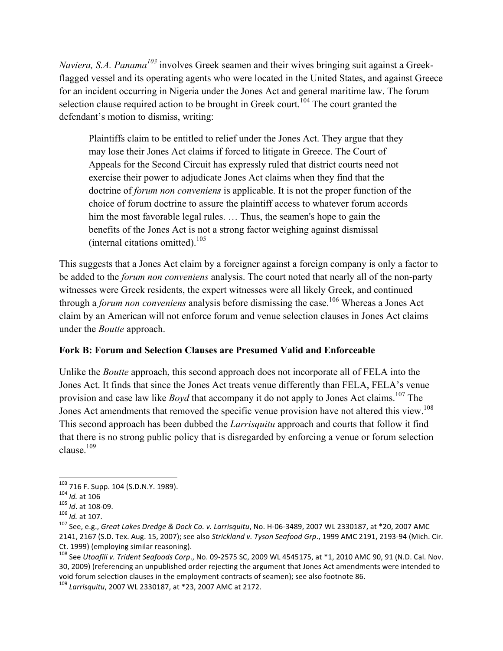*Naviera, S.A. Panama<sup>103</sup>* involves Greek seamen and their wives bringing suit against a Greekflagged vessel and its operating agents who were located in the United States, and against Greece for an incident occurring in Nigeria under the Jones Act and general maritime law. The forum selection clause required action to be brought in Greek court.<sup>104</sup> The court granted the defendant's motion to dismiss, writing:

Plaintiffs claim to be entitled to relief under the Jones Act. They argue that they may lose their Jones Act claims if forced to litigate in Greece. The Court of Appeals for the Second Circuit has expressly ruled that district courts need not exercise their power to adjudicate Jones Act claims when they find that the doctrine of *forum non conveniens* is applicable. It is not the proper function of the choice of forum doctrine to assure the plaintiff access to whatever forum accords him the most favorable legal rules. ... Thus, the seamen's hope to gain the benefits of the Jones Act is not a strong factor weighing against dismissal (internal citations omitted). 105

This suggests that a Jones Act claim by a foreigner against a foreign company is only a factor to be added to the *forum non conveniens* analysis. The court noted that nearly all of the non-party witnesses were Greek residents, the expert witnesses were all likely Greek, and continued through a *forum non conveniens* analysis before dismissing the case. <sup>106</sup> Whereas a Jones Act claim by an American will not enforce forum and venue selection clauses in Jones Act claims under the *Boutte* approach.

# **Fork B: Forum and Selection Clauses are Presumed Valid and Enforceable**

Unlike the *Boutte* approach, this second approach does not incorporate all of FELA into the Jones Act. It finds that since the Jones Act treats venue differently than FELA, FELA's venue provision and case law like *Boyd* that accompany it do not apply to Jones Act claims.<sup>107</sup> The Jones Act amendments that removed the specific venue provision have not altered this view.<sup>108</sup> This second approach has been dubbed the *Larrisquitu* approach and courts that follow it find that there is no strong public policy that is disregarded by enforcing a venue or forum selection clause  $^{109}$ 

<sup>&</sup>lt;sup>103</sup> 716 F. Supp. 104 (S.D.N.Y. 1989).

 $104$  *Id.* at 106<br>  $105$  *Id.* at 108-09.<br>  $106$  *Id.* at 107.<br>  $107$  See, e.g., Great Lakes Dredge & Dock Co. v. Larrisquitu, No. H-06-3489, 2007 WL 2330187, at \*20, 2007 AMC 2141, 2167 (S.D. Tex. Aug. 15, 2007); see also Strickland v. Tyson Seafood Grp., 1999 AMC 2191, 2193-94 (Mich. Cir. Ct. 1999) (employing similar reasoning).<br><sup>108</sup> See *Utoafili v. Trident Seafoods Corp.*, No. 09-2575 SC, 2009 WL 4545175, at \*1, 2010 AMC 90, 91 (N.D. Cal. Nov.

<sup>30, 2009) (</sup>referencing an unpublished order rejecting the argument that Jones Act amendments were intended to void forum selection clauses in the employment contracts of seamen); see also footnote 86. 109 *Larrisquitu*, 2007 WL 2330187, at \*23, 2007 AMC at 2172.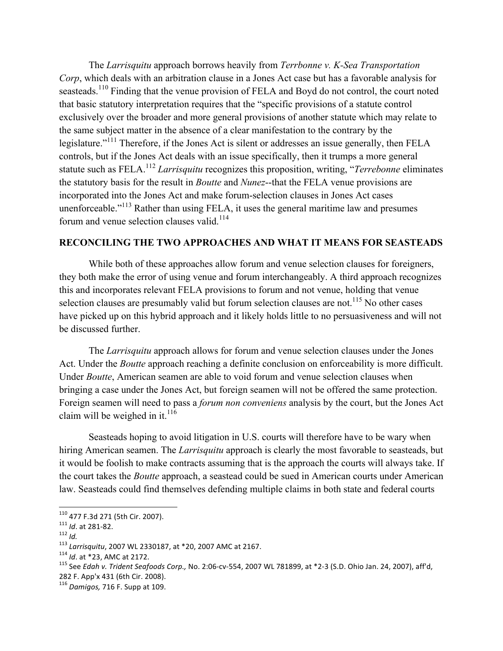The *Larrisquitu* approach borrows heavily from *Terrbonne v. K-Sea Transportation Corp*, which deals with an arbitration clause in a Jones Act case but has a favorable analysis for seasteads.<sup>110</sup> Finding that the venue provision of FELA and Boyd do not control, the court noted that basic statutory interpretation requires that the "specific provisions of a statute control exclusively over the broader and more general provisions of another statute which may relate to the same subject matter in the absence of a clear manifestation to the contrary by the legislature."<sup>111</sup> Therefore, if the Jones Act is silent or addresses an issue generally, then FELA controls, but if the Jones Act deals with an issue specifically, then it trumps a more general statute such as FELA.<sup>112</sup> *Larrisquitu* recognizes this proposition, writing, "*Terrebonne* eliminates the statutory basis for the result in *Boutte* and *Nunez*--that the FELA venue provisions are incorporated into the Jones Act and make forum-selection clauses in Jones Act cases unenforceable."<sup>113</sup> Rather than using FELA, it uses the general maritime law and presumes forum and venue selection clauses valid.<sup>114</sup>

## **RECONCILING THE TWO APPROACHES AND WHAT IT MEANS FOR SEASTEADS**

While both of these approaches allow forum and venue selection clauses for foreigners, they both make the error of using venue and forum interchangeably. A third approach recognizes this and incorporates relevant FELA provisions to forum and not venue, holding that venue selection clauses are presumably valid but forum selection clauses are not.<sup>115</sup> No other cases have picked up on this hybrid approach and it likely holds little to no persuasiveness and will not be discussed further.

The *Larrisquitu* approach allows for forum and venue selection clauses under the Jones Act. Under the *Boutte* approach reaching a definite conclusion on enforceability is more difficult. Under *Boutte*, American seamen are able to void forum and venue selection clauses when bringing a case under the Jones Act, but foreign seamen will not be offered the same protection. Foreign seamen will need to pass a *forum non conveniens* analysis by the court, but the Jones Act claim will be weighed in it. $^{116}$ 

Seasteads hoping to avoid litigation in U.S. courts will therefore have to be wary when hiring American seamen. The *Larrisquitu* approach is clearly the most favorable to seasteads, but it would be foolish to make contracts assuming that is the approach the courts will always take. If the court takes the *Boutte* approach, a seastead could be sued in American courts under American law. Seasteads could find themselves defending multiple claims in both state and federal courts

<sup>110 477</sup> F.3d 271 (5th Cir. 2007).

<sup>&</sup>lt;sup>111</sup> Id. at 281-82.<br><sup>112</sup> Id.<br><sup>113</sup> Larrisquitu, 2007 WL 2330187, at \*20, 2007 AMC at 2167.<br><sup>114</sup> Id. at \*23, AMC at 2172.<br><sup>115</sup> See Edah v. Trident Seafoods Corp., No. 2:06-cv-554, 2007 WL 781899, at \*2-3 (S.D. Ohio Jan 282 F. App'x 431 (6th Cir. 2008).

<sup>&</sup>lt;sup>116</sup> Damigos, 716 F. Supp at 109.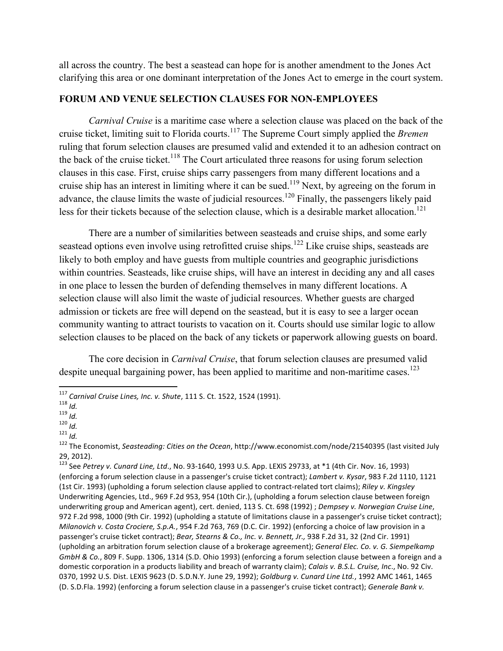all across the country. The best a seastead can hope for is another amendment to the Jones Act clarifying this area or one dominant interpretation of the Jones Act to emerge in the court system.

# **FORUM AND VENUE SELECTION CLAUSES FOR NON-EMPLOYEES**

*Carnival Cruise* is a maritime case where a selection clause was placed on the back of the cruise ticket, limiting suit to Florida courts.<sup>117</sup> The Supreme Court simply applied the *Bremen* ruling that forum selection clauses are presumed valid and extended it to an adhesion contract on the back of the cruise ticket.<sup>118</sup> The Court articulated three reasons for using forum selection clauses in this case. First, cruise ships carry passengers from many different locations and a cruise ship has an interest in limiting where it can be sued.<sup>119</sup> Next, by agreeing on the forum in advance, the clause limits the waste of judicial resources.<sup>120</sup> Finally, the passengers likely paid less for their tickets because of the selection clause, which is a desirable market allocation.<sup>121</sup>

There are a number of similarities between seasteads and cruise ships, and some early seastead options even involve using retrofitted cruise ships.<sup>122</sup> Like cruise ships, seasteads are likely to both employ and have guests from multiple countries and geographic jurisdictions within countries. Seasteads, like cruise ships, will have an interest in deciding any and all cases in one place to lessen the burden of defending themselves in many different locations. A selection clause will also limit the waste of judicial resources. Whether guests are charged admission or tickets are free will depend on the seastead, but it is easy to see a larger ocean community wanting to attract tourists to vacation on it. Courts should use similar logic to allow selection clauses to be placed on the back of any tickets or paperwork allowing guests on board.

The core decision in *Carnival Cruise*, that forum selection clauses are presumed valid despite unequal bargaining power, has been applied to maritime and non-maritime cases.<sup>123</sup>

<sup>&</sup>lt;sup>117</sup> Carnival Cruise Lines, Inc. v. Shute, 111 S. Ct. 1522, 1524 (1991).

<sup>&</sup>lt;sup>118</sup> *Id.*<br>
<sup>119</sup> *Id.*<br>
<sup>119</sup> *Id.*<br>
<sup>120</sup> *Id.*<br>
<sup>121</sup> *Id.*<br>
<sup>122</sup> The Economist, *Seasteading: Cities on the Ocean*, http://www.economist.com/node/21540395 (last visited July 29, 2012).

<sup>&</sup>lt;sup>123</sup> See *Petrey v. Cunard Line, Ltd.,* No. 93-1640, 1993 U.S. App. LEXIS 29733, at \*1 (4th Cir. Nov. 16, 1993) (enforcing a forum selection clause in a passenger's cruise ticket contract); *Lambert v. Kysar*, 983 F.2d 1110, 1121 (1st Cir. 1993) (upholding a forum selection clause applied to contract-related tort claims); *Riley v. Kingsley* Underwriting Agencies, Ltd., 969 F.2d 953, 954 (10th Cir.), (upholding a forum selection clause between foreign underwriting group and American agent), cert. denied, 113 S. Ct. 698 (1992) ; *Dempsey v. Norwegian Cruise Line*, 972 F.2d 998, 1000 (9th Cir. 1992) (upholding a statute of limitations clause in a passenger's cruise ticket contract); *Milanovich v. Costa Crociere, S.p.A.*, 954 F.2d 763, 769 (D.C. Cir. 1992) (enforcing a choice of law provision in a passenger's cruise ticket contract); *Bear, Stearns & Co., Inc. v. Bennett, Jr.,* 938 F.2d 31, 32 (2nd Cir. 1991) (upholding an arbitration forum selection clause of a brokerage agreement); *General Elec. Co. v. G. Siempelkamp GmbH & Co.*, 809 F. Supp. 1306, 1314 (S.D. Ohio 1993) (enforcing a forum selection clause between a foreign and a domestic corporation in a products liability and breach of warranty claim); *Calais v. B.S.L. Cruise, Inc.*, No. 92 Civ. 0370, 1992 U.S. Dist. LEXIS 9623 (D. S.D.N.Y. June 29, 1992); *Goldburg v. Cunard Line Ltd.*, 1992 AMC 1461, 1465 (D. S.D.Fla. 1992) (enforcing a forum selection clause in a passenger's cruise ticket contract); *Generale Bank v.*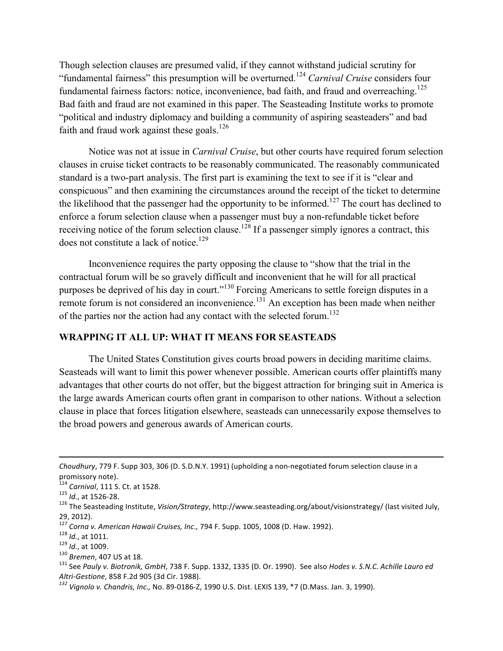Though selection clauses are presumed valid, if they cannot withstand judicial scrutiny for "fundamental fairness" this presumption will be overturned.124 *Carnival Cruise* considers four fundamental fairness factors: notice, inconvenience, bad faith, and fraud and overreaching.<sup>125</sup> Bad faith and fraud are not examined in this paper. The Seasteading Institute works to promote "political and industry diplomacy and building a community of aspiring seasteaders" and bad faith and fraud work against these goals.<sup>126</sup>

Notice was not at issue in *Carnival Cruise*, but other courts have required forum selection clauses in cruise ticket contracts to be reasonably communicated. The reasonably communicated standard is a two-part analysis. The first part is examining the text to see if it is "clear and conspicuous" and then examining the circumstances around the receipt of the ticket to determine the likelihood that the passenger had the opportunity to be informed.<sup>127</sup> The court has declined to enforce a forum selection clause when a passenger must buy a non-refundable ticket before receiving notice of the forum selection clause.<sup>128</sup> If a passenger simply ignores a contract, this does not constitute a lack of notice.<sup>129</sup>

Inconvenience requires the party opposing the clause to "show that the trial in the contractual forum will be so gravely difficult and inconvenient that he will for all practical purposes be deprived of his day in court."<sup>130</sup> Forcing Americans to settle foreign disputes in a remote forum is not considered an inconvenience.<sup>131</sup> An exception has been made when neither of the parties nor the action had any contact with the selected forum.<sup>132</sup>

## **WRAPPING IT ALL UP: WHAT IT MEANS FOR SEASTEADS**

The United States Constitution gives courts broad powers in deciding maritime claims. Seasteads will want to limit this power whenever possible. American courts offer plaintiffs many advantages that other courts do not offer, but the biggest attraction for bringing suit in America is the large awards American courts often grant in comparison to other nations. Without a selection clause in place that forces litigation elsewhere, seasteads can unnecessarily expose themselves to the broad powers and generous awards of American courts.

*Choudhury*, 779 F. Supp 303, 306 (D. S.D.N.Y. 1991) (upholding a non-negotiated forum selection clause in a

promissory note).<br><sup>124</sup> *Carnival*, 111 S. Ct. at 1528.<br><sup>125</sup> *Id.*, at 1526-28.

<sup>&</sup>lt;sup>126</sup> The Seasteading Institute, Vision/Strategy, http://www.seasteading.org/about/visionstrategy/ (last visited July,

<sup>29, 2012).&</sup>lt;br><sup>127</sup> Corna v. American Hawaii Cruises, Inc., 794 F. Supp. 1005, 1008 (D. Haw. 1992).

 $128$  *Id.*, at 1011.<br>  $129$  *Id.*, at 1009.<br>  $130$  Bremen, 407 US at 18.<br>  $131$  See Pauly v. Biotronik, GmbH, 738 F. Supp. 1332, 1335 (D. Or. 1990). See also Hodes v. S.N.C. Achille Lauro ed *Altri-Gestione,* 858 F.2d 905 (3d Cir. 1988).<br><sup>132</sup> *Vignolo v. Chandris, Inc., No.* 89-0186-Z, 1990 U.S. Dist. LEXIS 139, \*7 (D.Mass. Jan. 3, 1990).